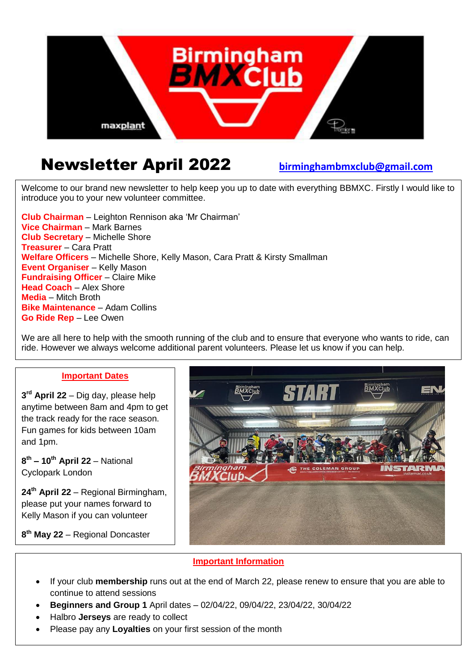

# Newsletter April 2022 **[birminghambmxclub@gmail.com](mailto:birminghambmxclub@gmail.com)**

Welcome to our brand new newsletter to help keep you up to date with everything BBMXC. Firstly I would like to introduce you to your new volunteer committee.

**Club Chairman** – Leighton Rennison aka 'Mr Chairman' **Vice Chairman** – Mark Barnes **Club Secretary** – Michelle Shore **Treasurer** – Cara Pratt **Welfare Officers** – Michelle Shore, Kelly Mason, Cara Pratt & Kirsty Smallman **Event Organiser** – Kelly Mason **Fundraising Officer** – Claire Mike **Head Coach** – Alex Shore **Media** – Mitch Broth **Bike Maintenance** – Adam Collins **Go Ride Rep** – Lee Owen

We are all here to help with the smooth running of the club and to ensure that everyone who wants to ride, can ride. However we always welcome additional parent volunteers. Please let us know if you can help.

#### **Important Dates**

**3 rd April 22** – Dig day, please help anytime between 8am and 4pm to get the track ready for the race season. Fun games for kids between 10am and 1pm.

**8 th – 10th April 22** – National Cyclopark London

**24th April 22** – Regional Birmingham, please put your names forward to Kelly Mason if you can volunteer

**8 th May 22** – Regional Doncaster



### **Important Information**

- If your club **membership** runs out at the end of March 22, please renew to ensure that you are able to continue to attend sessions
- **Beginners and Group 1** April dates 02/04/22, 09/04/22, 23/04/22, 30/04/22
- Halbro **Jerseys** are ready to collect
- Please pay any **Loyalties** on your first session of the month